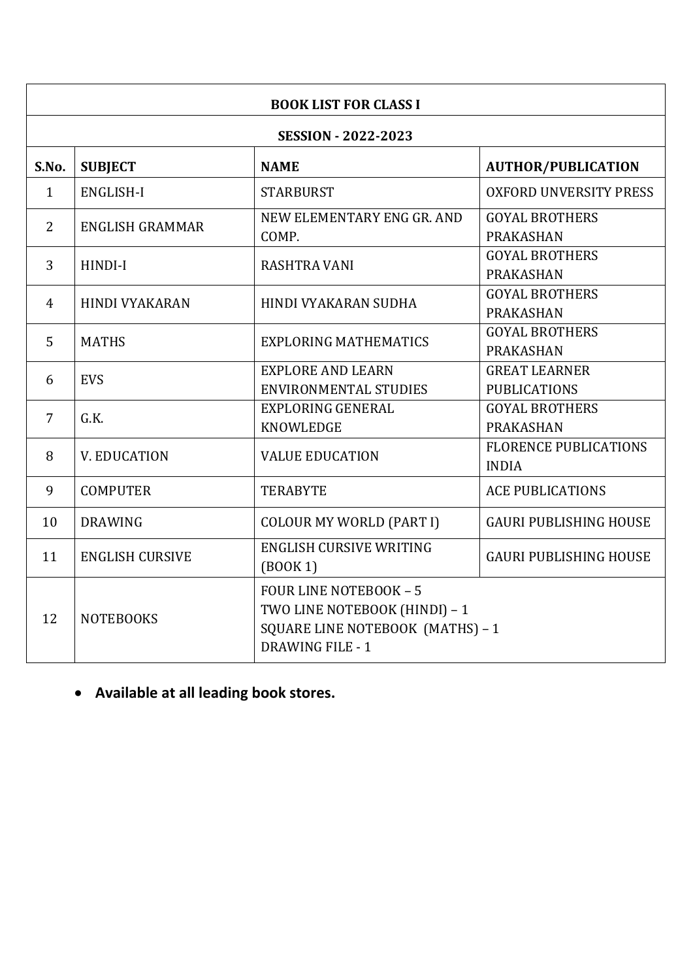| <b>BOOK LIST FOR CLASS I</b> |                        |                                                                                                                               |                                              |  |
|------------------------------|------------------------|-------------------------------------------------------------------------------------------------------------------------------|----------------------------------------------|--|
| <b>SESSION - 2022-2023</b>   |                        |                                                                                                                               |                                              |  |
| S.No.                        | <b>SUBJECT</b>         | <b>NAME</b>                                                                                                                   | <b>AUTHOR/PUBLICATION</b>                    |  |
| $\mathbf{1}$                 | ENGLISH-I              | <b>STARBURST</b>                                                                                                              | <b>OXFORD UNVERSITY PRESS</b>                |  |
| 2                            | <b>ENGLISH GRAMMAR</b> | NEW ELEMENTARY ENG GR. AND<br>COMP.                                                                                           | <b>GOYAL BROTHERS</b><br><b>PRAKASHAN</b>    |  |
| 3                            | HINDI-I                | <b>RASHTRA VANI</b>                                                                                                           | <b>GOYAL BROTHERS</b><br><b>PRAKASHAN</b>    |  |
| 4                            | <b>HINDI VYAKARAN</b>  | HINDI VYAKARAN SUDHA                                                                                                          | <b>GOYAL BROTHERS</b><br><b>PRAKASHAN</b>    |  |
| 5                            | <b>MATHS</b>           | <b>EXPLORING MATHEMATICS</b>                                                                                                  | <b>GOYAL BROTHERS</b><br><b>PRAKASHAN</b>    |  |
| 6                            | <b>EVS</b>             | <b>EXPLORE AND LEARN</b><br><b>ENVIRONMENTAL STUDIES</b>                                                                      | <b>GREAT LEARNER</b><br><b>PUBLICATIONS</b>  |  |
| $\overline{7}$               | G.K.                   | <b>EXPLORING GENERAL</b><br><b>KNOWLEDGE</b>                                                                                  | <b>GOYAL BROTHERS</b><br><b>PRAKASHAN</b>    |  |
| 8                            | V. EDUCATION           | <b>VALUE EDUCATION</b>                                                                                                        | <b>FLORENCE PUBLICATIONS</b><br><b>INDIA</b> |  |
| 9                            | <b>COMPUTER</b>        | <b>TERABYTE</b>                                                                                                               | <b>ACE PUBLICATIONS</b>                      |  |
| 10                           | <b>DRAWING</b>         | <b>COLOUR MY WORLD (PART I)</b>                                                                                               | <b>GAURI PUBLISHING HOUSE</b>                |  |
| 11                           | <b>ENGLISH CURSIVE</b> | <b>ENGLISH CURSIVE WRITING</b><br>(BOOK 1)                                                                                    | <b>GAURI PUBLISHING HOUSE</b>                |  |
| 12                           | <b>NOTEBOOKS</b>       | <b>FOUR LINE NOTEBOOK - 5</b><br>TWO LINE NOTEBOOK (HINDI) - 1<br>SQUARE LINE NOTEBOOK (MATHS) - 1<br><b>DRAWING FILE - 1</b> |                                              |  |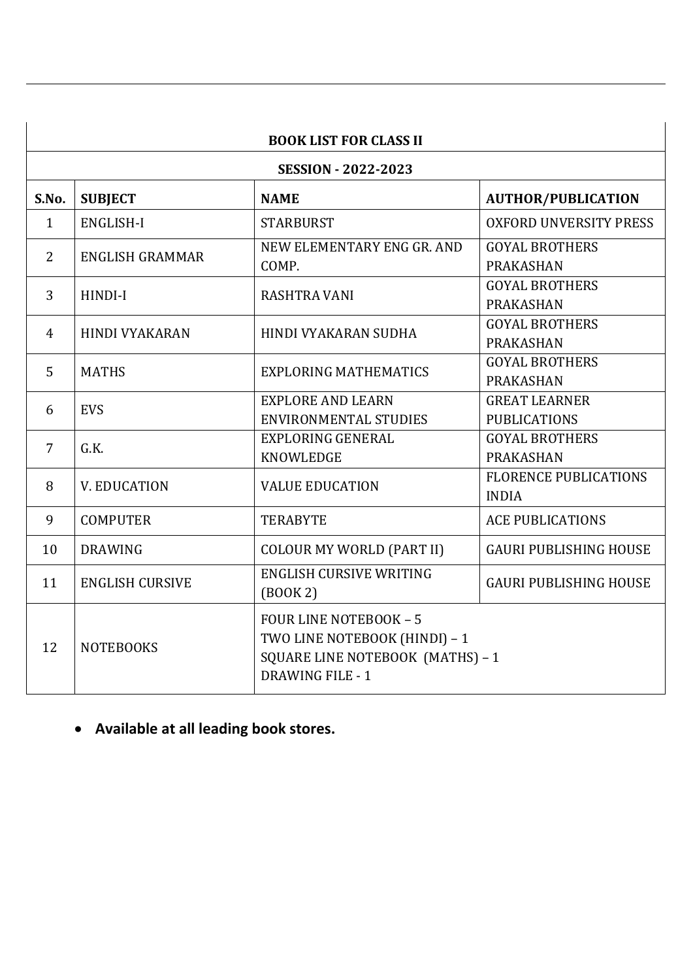| <b>BOOK LIST FOR CLASS II</b> |                        |                                                                                                                               |                                              |  |
|-------------------------------|------------------------|-------------------------------------------------------------------------------------------------------------------------------|----------------------------------------------|--|
| <b>SESSION - 2022-2023</b>    |                        |                                                                                                                               |                                              |  |
| S.No.                         | <b>SUBJECT</b>         | <b>NAME</b>                                                                                                                   | <b>AUTHOR/PUBLICATION</b>                    |  |
| $\mathbf{1}$                  | <b>ENGLISH-I</b>       | <b>STARBURST</b>                                                                                                              | <b>OXFORD UNVERSITY PRESS</b>                |  |
| 2                             | <b>ENGLISH GRAMMAR</b> | NEW ELEMENTARY ENG GR. AND<br>COMP.                                                                                           | <b>GOYAL BROTHERS</b><br><b>PRAKASHAN</b>    |  |
| 3                             | HINDI-I                | <b>RASHTRA VANI</b>                                                                                                           | <b>GOYAL BROTHERS</b><br><b>PRAKASHAN</b>    |  |
| 4                             | <b>HINDI VYAKARAN</b>  | <b>HINDI VYAKARAN SUDHA</b>                                                                                                   | <b>GOYAL BROTHERS</b><br><b>PRAKASHAN</b>    |  |
| 5                             | <b>MATHS</b>           | <b>EXPLORING MATHEMATICS</b>                                                                                                  | <b>GOYAL BROTHERS</b><br><b>PRAKASHAN</b>    |  |
| 6                             | <b>EVS</b>             | <b>EXPLORE AND LEARN</b><br><b>ENVIRONMENTAL STUDIES</b>                                                                      | <b>GREAT LEARNER</b><br><b>PUBLICATIONS</b>  |  |
| $\overline{7}$                | G.K.                   | <b>EXPLORING GENERAL</b><br><b>KNOWLEDGE</b>                                                                                  | <b>GOYAL BROTHERS</b><br><b>PRAKASHAN</b>    |  |
| 8                             | <b>V. EDUCATION</b>    | <b>VALUE EDUCATION</b>                                                                                                        | <b>FLORENCE PUBLICATIONS</b><br><b>INDIA</b> |  |
| 9                             | <b>COMPUTER</b>        | <b>TERABYTE</b>                                                                                                               | <b>ACE PUBLICATIONS</b>                      |  |
| 10                            | <b>DRAWING</b>         | <b>COLOUR MY WORLD (PART II)</b>                                                                                              | <b>GAURI PUBLISHING HOUSE</b>                |  |
| 11                            | <b>ENGLISH CURSIVE</b> | <b>ENGLISH CURSIVE WRITING</b><br>(BOOK 2)                                                                                    | <b>GAURI PUBLISHING HOUSE</b>                |  |
| 12                            | <b>NOTEBOOKS</b>       | <b>FOUR LINE NOTEBOOK - 5</b><br>TWO LINE NOTEBOOK (HINDI) - 1<br>SQUARE LINE NOTEBOOK (MATHS) - 1<br><b>DRAWING FILE - 1</b> |                                              |  |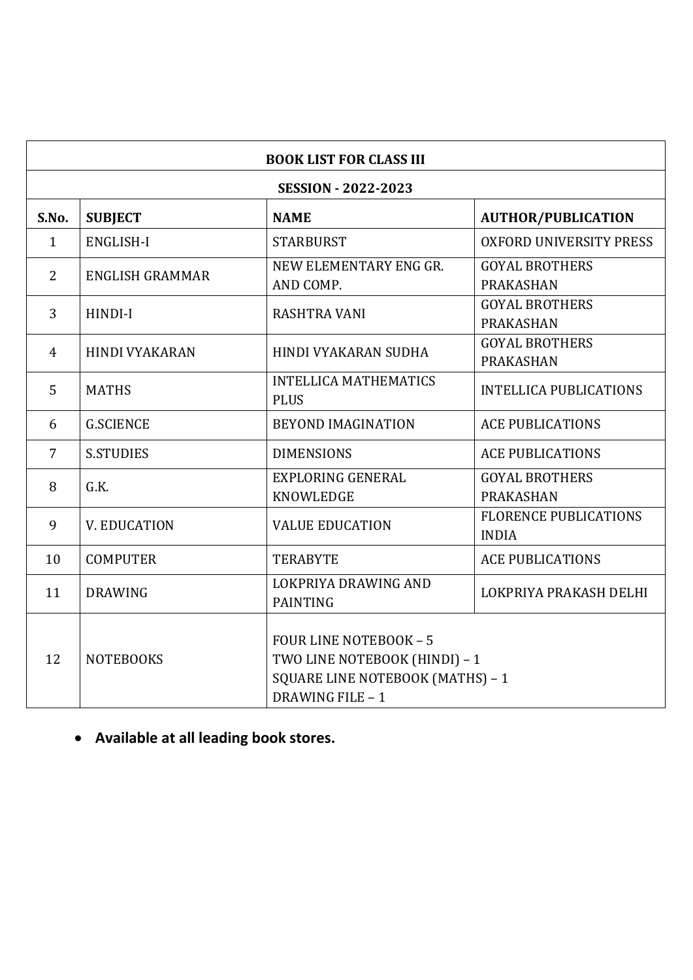| <b>BOOK LIST FOR CLASS III</b> |                        |                                                                                                                        |                                              |  |
|--------------------------------|------------------------|------------------------------------------------------------------------------------------------------------------------|----------------------------------------------|--|
| <b>SESSION - 2022-2023</b>     |                        |                                                                                                                        |                                              |  |
| S.No.                          | <b>SUBJECT</b>         | <b>NAME</b>                                                                                                            | <b>AUTHOR/PUBLICATION</b>                    |  |
| $\mathbf{1}$                   | <b>ENGLISH-I</b>       | <b>STARBURST</b>                                                                                                       | <b>OXFORD UNIVERSITY PRESS</b>               |  |
| $\overline{2}$                 | <b>ENGLISH GRAMMAR</b> | NEW ELEMENTARY ENG GR.<br>AND COMP.                                                                                    | <b>GOYAL BROTHERS</b><br>PRAKASHAN           |  |
| 3                              | HINDI-I                | <b>RASHTRA VANI</b>                                                                                                    | <b>GOYAL BROTHERS</b><br><b>PRAKASHAN</b>    |  |
| $\overline{4}$                 | <b>HINDI VYAKARAN</b>  | <b>HINDI VYAKARAN SUDHA</b>                                                                                            | <b>GOYAL BROTHERS</b><br><b>PRAKASHAN</b>    |  |
| 5                              | <b>MATHS</b>           | <b>INTELLICA MATHEMATICS</b><br><b>PLUS</b>                                                                            | <b>INTELLICA PUBLICATIONS</b>                |  |
| 6                              | <b>G.SCIENCE</b>       | <b>BEYOND IMAGINATION</b>                                                                                              | <b>ACE PUBLICATIONS</b>                      |  |
| $\overline{7}$                 | <b>S.STUDIES</b>       | <b>DIMENSIONS</b>                                                                                                      | <b>ACE PUBLICATIONS</b>                      |  |
| 8                              | G.K.                   | <b>EXPLORING GENERAL</b><br><b>KNOWLEDGE</b>                                                                           | <b>GOYAL BROTHERS</b><br><b>PRAKASHAN</b>    |  |
| 9                              | <b>V. EDUCATION</b>    | <b>VALUE EDUCATION</b>                                                                                                 | <b>FLORENCE PUBLICATIONS</b><br><b>INDIA</b> |  |
| 10                             | <b>COMPUTER</b>        | <b>TERABYTE</b>                                                                                                        | <b>ACE PUBLICATIONS</b>                      |  |
| 11                             | <b>DRAWING</b>         | LOKPRIYA DRAWING AND<br><b>PAINTING</b>                                                                                | LOKPRIYA PRAKASH DELHI                       |  |
| 12                             | <b>NOTEBOOKS</b>       | <b>FOUR LINE NOTEBOOK - 5</b><br>TWO LINE NOTEBOOK (HINDI) - 1<br>SQUARE LINE NOTEBOOK (MATHS) - 1<br>DRAWING FILE - 1 |                                              |  |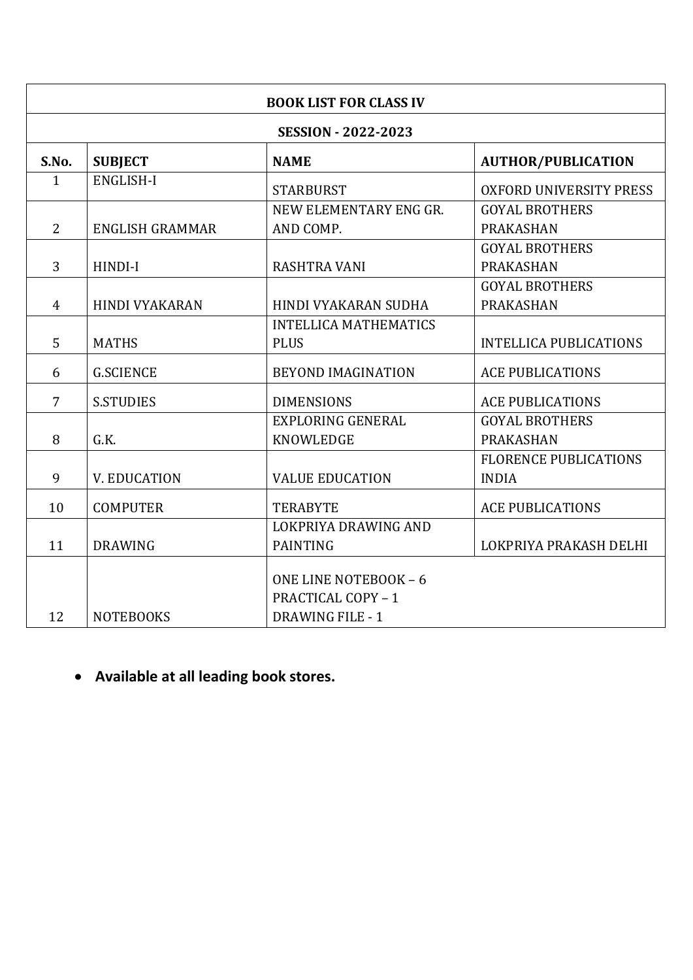| <b>BOOK LIST FOR CLASS IV</b> |                            |                              |                                |  |
|-------------------------------|----------------------------|------------------------------|--------------------------------|--|
|                               | <b>SESSION - 2022-2023</b> |                              |                                |  |
| S.No.                         | <b>SUBJECT</b>             | <b>NAME</b>                  | <b>AUTHOR/PUBLICATION</b>      |  |
| $\mathbf{1}$                  | <b>ENGLISH-I</b>           | <b>STARBURST</b>             | <b>OXFORD UNIVERSITY PRESS</b> |  |
|                               |                            | NEW ELEMENTARY ENG GR.       | <b>GOYAL BROTHERS</b>          |  |
| $\overline{2}$                | <b>ENGLISH GRAMMAR</b>     | AND COMP.                    | <b>PRAKASHAN</b>               |  |
|                               |                            |                              | <b>GOYAL BROTHERS</b>          |  |
| 3                             | HINDI-I                    | <b>RASHTRA VANI</b>          | <b>PRAKASHAN</b>               |  |
|                               |                            |                              | <b>GOYAL BROTHERS</b>          |  |
| $\overline{4}$                | <b>HINDI VYAKARAN</b>      | HINDI VYAKARAN SUDHA         | <b>PRAKASHAN</b>               |  |
|                               |                            | <b>INTELLICA MATHEMATICS</b> |                                |  |
| 5                             | <b>MATHS</b>               | <b>PLUS</b>                  | <b>INTELLICA PUBLICATIONS</b>  |  |
| 6                             | <b>G.SCIENCE</b>           | <b>BEYOND IMAGINATION</b>    | <b>ACE PUBLICATIONS</b>        |  |
| $\overline{7}$                | <b>S.STUDIES</b>           | <b>DIMENSIONS</b>            | <b>ACE PUBLICATIONS</b>        |  |
|                               |                            | <b>EXPLORING GENERAL</b>     | <b>GOYAL BROTHERS</b>          |  |
| 8                             | G.K.                       | <b>KNOWLEDGE</b>             | <b>PRAKASHAN</b>               |  |
|                               |                            |                              | <b>FLORENCE PUBLICATIONS</b>   |  |
| 9                             | V. EDUCATION               | <b>VALUE EDUCATION</b>       | <b>INDIA</b>                   |  |
| 10                            | <b>COMPUTER</b>            | <b>TERABYTE</b>              | <b>ACE PUBLICATIONS</b>        |  |
|                               |                            | LOKPRIYA DRAWING AND         |                                |  |
| 11                            | <b>DRAWING</b>             | <b>PAINTING</b>              | LOKPRIYA PRAKASH DELHI         |  |
|                               |                            | ONE LINE NOTEBOOK - 6        |                                |  |
|                               |                            | <b>PRACTICAL COPY - 1</b>    |                                |  |
| 12                            | <b>NOTEBOOKS</b>           | <b>DRAWING FILE - 1</b>      |                                |  |